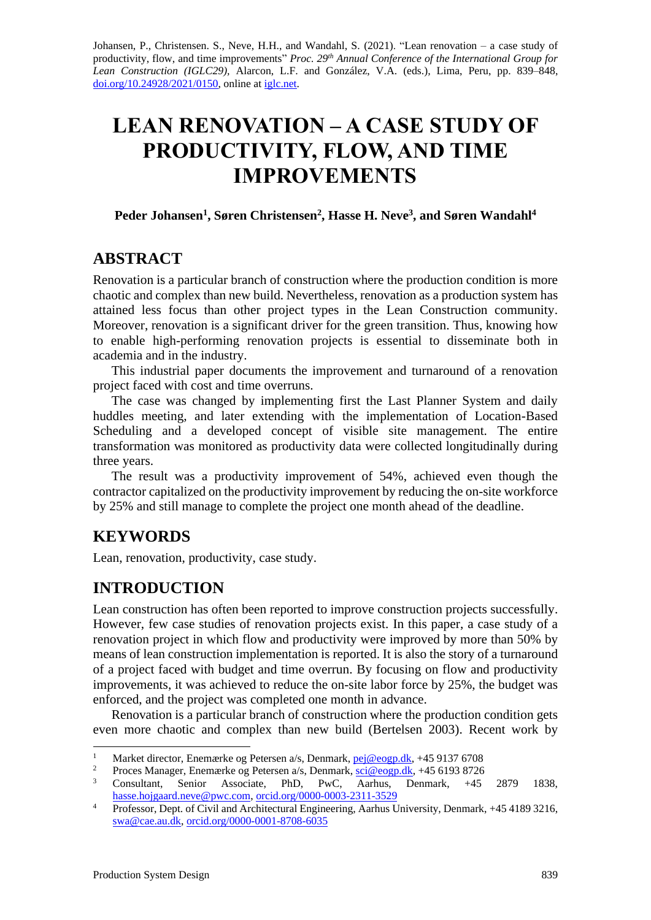Johansen, P., Christensen. S., Neve, H.H., and Wandahl, S. (2021). "Lean renovation – a case study of productivity, flow, and time improvements" *Proc. 29<sup>th</sup> Annual Conference of the International Group for Lean Construction (IGLC29),* Alarcon, L.F. and González, V.A. (eds.)*,* Lima, Peru, pp. 839–848, [doi.org/10.24928/2021/0150,](https://doi.org/10.24928/2021/0150) online a[t iglc.net.](http://iglc.net/)

# **LEAN RENOVATION – A CASE STUDY OF PRODUCTIVITY, FLOW, AND TIME IMPROVEMENTS**

**Peder Johansen<sup>1</sup> , Søren Christensen<sup>2</sup> , Hasse H. Neve<sup>3</sup> , and Søren Wandahl<sup>4</sup>**

## **ABSTRACT**

Renovation is a particular branch of construction where the production condition is more chaotic and complex than new build. Nevertheless, renovation as a production system has attained less focus than other project types in the Lean Construction community. Moreover, renovation is a significant driver for the green transition. Thus, knowing how to enable high-performing renovation projects is essential to disseminate both in academia and in the industry.

This industrial paper documents the improvement and turnaround of a renovation project faced with cost and time overruns.

The case was changed by implementing first the Last Planner System and daily huddles meeting, and later extending with the implementation of Location-Based Scheduling and a developed concept of visible site management. The entire transformation was monitored as productivity data were collected longitudinally during three years.

The result was a productivity improvement of 54%, achieved even though the contractor capitalized on the productivity improvement by reducing the on-site workforce by 25% and still manage to complete the project one month ahead of the deadline.

# **KEYWORDS**

Lean, renovation, productivity, case study.

# **INTRODUCTION**

Lean construction has often been reported to improve construction projects successfully. However, few case studies of renovation projects exist. In this paper, a case study of a renovation project in which flow and productivity were improved by more than 50% by means of lean construction implementation is reported. It is also the story of a turnaround of a project faced with budget and time overrun. By focusing on flow and productivity improvements, it was achieved to reduce the on-site labor force by 25%, the budget was enforced, and the project was completed one month in advance.

Renovation is a particular branch of construction where the production condition gets even more chaotic and complex than new build (Bertelsen 2003). Recent work by

<sup>&</sup>lt;sup>1</sup> Market director, Enemærke og Petersen a/s, Denmark, <u>pej@eogp.dk</u>, +45 9137 6708<br><sup>2</sup> Presse Manager, Enemærke og Petersen a/s, Denmark, sej@eogn.dk, +45 6103 8726

<sup>&</sup>lt;sup>2</sup> Proces Manager, Enemærke og Petersen a/s, Denmark, <u>sci@eogp.dk</u>, +45 6193 8726

<sup>3</sup> Consultant, Senior Associate, PhD, PwC, Aarhus, Denmark, +45 2879 1838, [hasse.hojgaard.neve@pwc.com,](mailto:hasse.hojgaard.neve@pwc.com) [orcid.org/0000-0003-2311-3529](https://orcid.org/0000-0003-2311-3529)

<sup>&</sup>lt;sup>4</sup> Professor, Dept. of Civil and Architectural Engineering, Aarhus University, Denmark, +45 4189 3216, [swa@cae.au.dk,](mailto:swa@cae.au.dk) [orcid.org/0000-0001-8708-6035](https://orcid.org/0000-0001-8708-6035)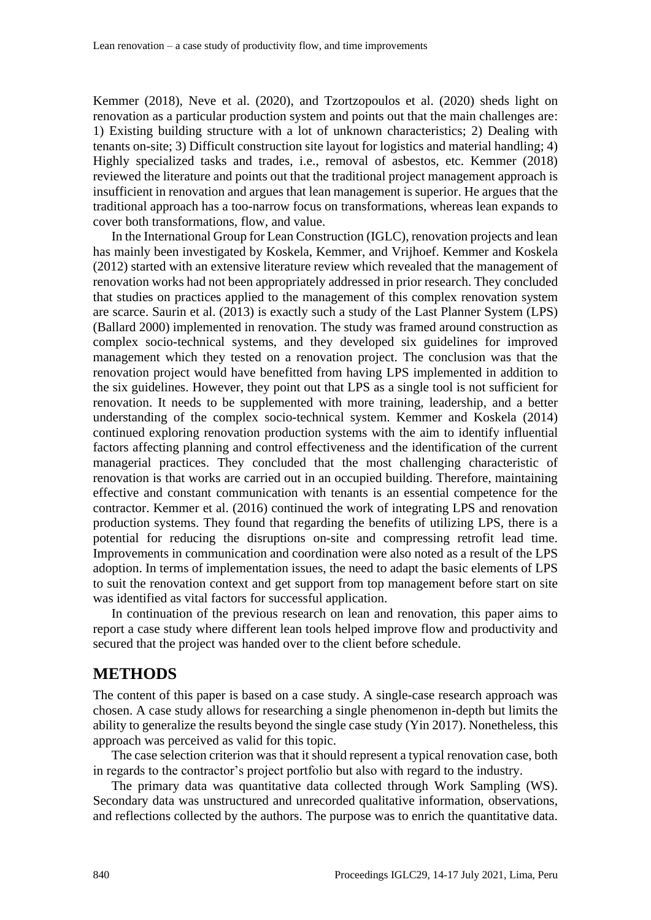Kemmer (2018), Neve et al. (2020), and Tzortzopoulos et al. (2020) sheds light on renovation as a particular production system and points out that the main challenges are: 1) Existing building structure with a lot of unknown characteristics; 2) Dealing with tenants on-site; 3) Difficult construction site layout for logistics and material handling; 4) Highly specialized tasks and trades, i.e., removal of asbestos, etc. Kemmer (2018) reviewed the literature and points out that the traditional project management approach is insufficient in renovation and argues that lean management is superior. He argues that the traditional approach has a too-narrow focus on transformations, whereas lean expands to cover both transformations, flow, and value.

In the International Group for Lean Construction (IGLC), renovation projects and lean has mainly been investigated by Koskela, Kemmer, and Vrijhoef. Kemmer and Koskela (2012) started with an extensive literature review which revealed that the management of renovation works had not been appropriately addressed in prior research. They concluded that studies on practices applied to the management of this complex renovation system are scarce. Saurin et al. (2013) is exactly such a study of the Last Planner System (LPS) (Ballard 2000) implemented in renovation. The study was framed around construction as complex socio-technical systems, and they developed six guidelines for improved management which they tested on a renovation project. The conclusion was that the renovation project would have benefitted from having LPS implemented in addition to the six guidelines. However, they point out that LPS as a single tool is not sufficient for renovation. It needs to be supplemented with more training, leadership, and a better understanding of the complex socio-technical system. Kemmer and Koskela (2014) continued exploring renovation production systems with the aim to identify influential factors affecting planning and control effectiveness and the identification of the current managerial practices. They concluded that the most challenging characteristic of renovation is that works are carried out in an occupied building. Therefore, maintaining effective and constant communication with tenants is an essential competence for the contractor. Kemmer et al. (2016) continued the work of integrating LPS and renovation production systems. They found that regarding the benefits of utilizing LPS, there is a potential for reducing the disruptions on-site and compressing retrofit lead time. Improvements in communication and coordination were also noted as a result of the LPS adoption. In terms of implementation issues, the need to adapt the basic elements of LPS to suit the renovation context and get support from top management before start on site was identified as vital factors for successful application.

In continuation of the previous research on lean and renovation, this paper aims to report a case study where different lean tools helped improve flow and productivity and secured that the project was handed over to the client before schedule.

#### **METHODS**

The content of this paper is based on a case study. A single-case research approach was chosen. A case study allows for researching a single phenomenon in-depth but limits the ability to generalize the results beyond the single case study (Yin 2017). Nonetheless, this approach was perceived as valid for this topic.

The case selection criterion was that it should represent a typical renovation case, both in regards to the contractor's project portfolio but also with regard to the industry.

The primary data was quantitative data collected through Work Sampling (WS). Secondary data was unstructured and unrecorded qualitative information, observations, and reflections collected by the authors. The purpose was to enrich the quantitative data.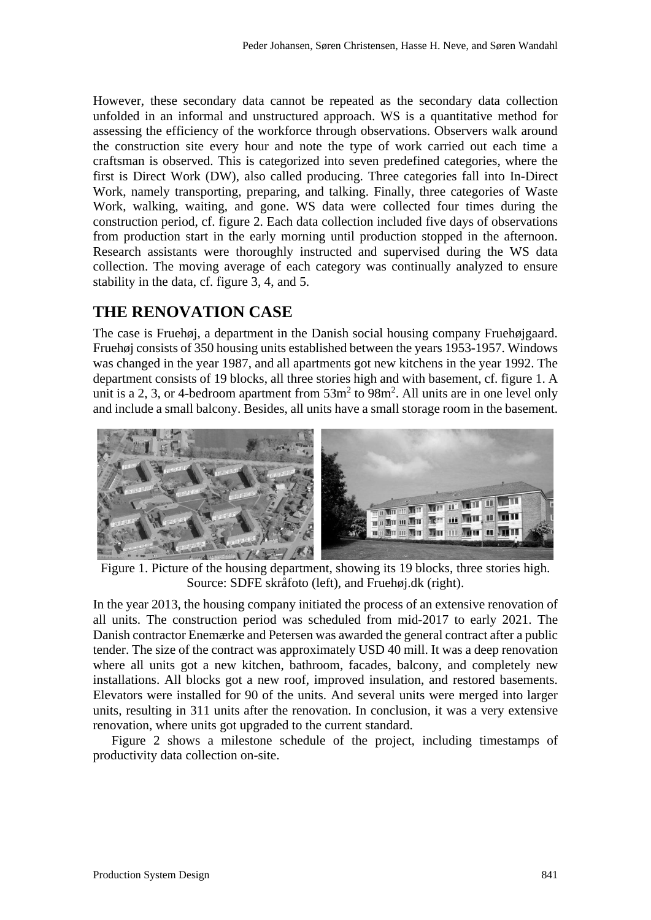However, these secondary data cannot be repeated as the secondary data collection unfolded in an informal and unstructured approach. WS is a quantitative method for assessing the efficiency of the workforce through observations. Observers walk around the construction site every hour and note the type of work carried out each time a craftsman is observed. This is categorized into seven predefined categories, where the first is Direct Work (DW), also called producing. Three categories fall into In-Direct Work, namely transporting, preparing, and talking. Finally, three categories of Waste Work, walking, waiting, and gone. WS data were collected four times during the construction period, cf. figure 2. Each data collection included five days of observations from production start in the early morning until production stopped in the afternoon. Research assistants were thoroughly instructed and supervised during the WS data collection. The moving average of each category was continually analyzed to ensure stability in the data, cf. figure 3, 4, and 5.

# **THE RENOVATION CASE**

The case is Fruehøj, a department in the Danish social housing company Fruehøjgaard. Fruehøj consists of 350 housing units established between the years 1953-1957. Windows was changed in the year 1987, and all apartments got new kitchens in the year 1992. The department consists of 19 blocks, all three stories high and with basement, cf. figure 1. A unit is a 2, 3, or 4-bedroom apartment from  $53m^2$  to  $98m^2$ . All units are in one level only and include a small balcony. Besides, all units have a small storage room in the basement.



Figure 1. Picture of the housing department, showing its 19 blocks, three stories high. Source: SDFE skråfoto (left), and Fruehøj.dk (right).

In the year 2013, the housing company initiated the process of an extensive renovation of all units. The construction period was scheduled from mid-2017 to early 2021. The Danish contractor Enemærke and Petersen was awarded the general contract after a public tender. The size of the contract was approximately USD 40 mill. It was a deep renovation where all units got a new kitchen, bathroom, facades, balcony, and completely new installations. All blocks got a new roof, improved insulation, and restored basements. Elevators were installed for 90 of the units. And several units were merged into larger units, resulting in 311 units after the renovation. In conclusion, it was a very extensive renovation, where units got upgraded to the current standard.

Figure 2 shows a milestone schedule of the project, including timestamps of productivity data collection on-site.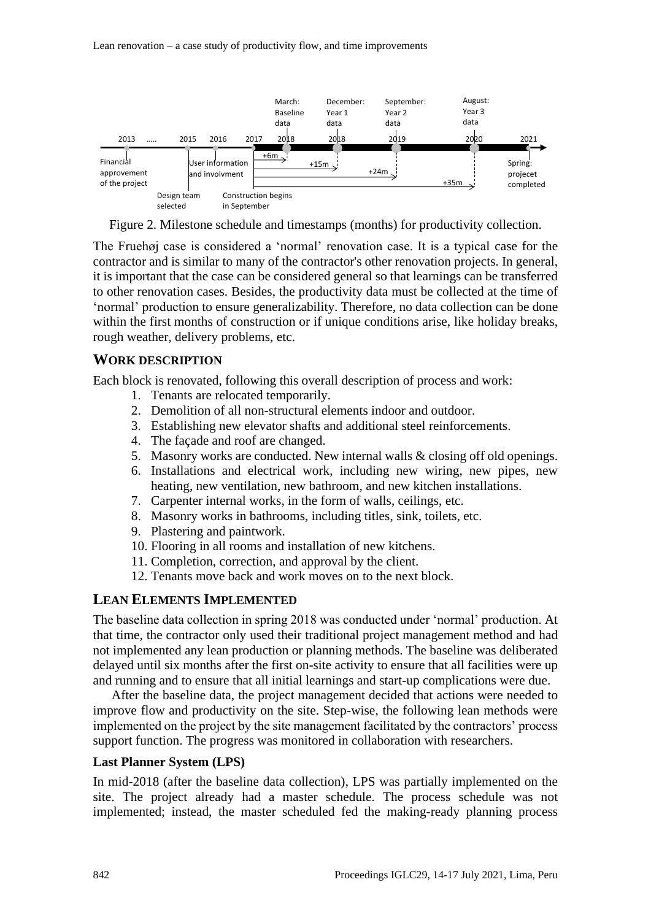

Figure 2. Milestone schedule and timestamps (months) for productivity collection.

The Fruehøj case is considered a 'normal' renovation case. It is a typical case for the contractor and is similar to many of the contractor's other renovation projects. In general, it is important that the case can be considered general so that learnings can be transferred to other renovation cases. Besides, the productivity data must be collected at the time of 'normal' production to ensure generalizability. Therefore, no data collection can be done within the first months of construction or if unique conditions arise, like holiday breaks, rough weather, delivery problems, etc.

#### **WORK DESCRIPTION**

Each block is renovated, following this overall description of process and work:

- 1. Tenants are relocated temporarily.
- 2. Demolition of all non-structural elements indoor and outdoor.
- 3. Establishing new elevator shafts and additional steel reinforcements.
- 4. The façade and roof are changed.
- 5. Masonry works are conducted. New internal walls & closing off old openings.
- 6. Installations and electrical work, including new wiring, new pipes, new heating, new ventilation, new bathroom, and new kitchen installations.
- 7. Carpenter internal works, in the form of walls, ceilings, etc.
- 8. Masonry works in bathrooms, including titles, sink, toilets, etc.
- 9. Plastering and paintwork.
- 10. Flooring in all rooms and installation of new kitchens.
- 11. Completion, correction, and approval by the client.
- 12. Tenants move back and work moves on to the next block.

#### **LEAN ELEMENTS IMPLEMENTED**

The baseline data collection in spring 2018 was conducted under 'normal' production. At that time, the contractor only used their traditional project management method and had not implemented any lean production or planning methods. The baseline was deliberated delayed until six months after the first on-site activity to ensure that all facilities were up and running and to ensure that all initial learnings and start-up complications were due.

After the baseline data, the project management decided that actions were needed to improve flow and productivity on the site. Step-wise, the following lean methods were implemented on the project by the site management facilitated by the contractors' process support function. The progress was monitored in collaboration with researchers.

#### **Last Planner System (LPS)**

In mid-2018 (after the baseline data collection), LPS was partially implemented on the site. The project already had a master schedule. The process schedule was not implemented; instead, the master scheduled fed the making-ready planning process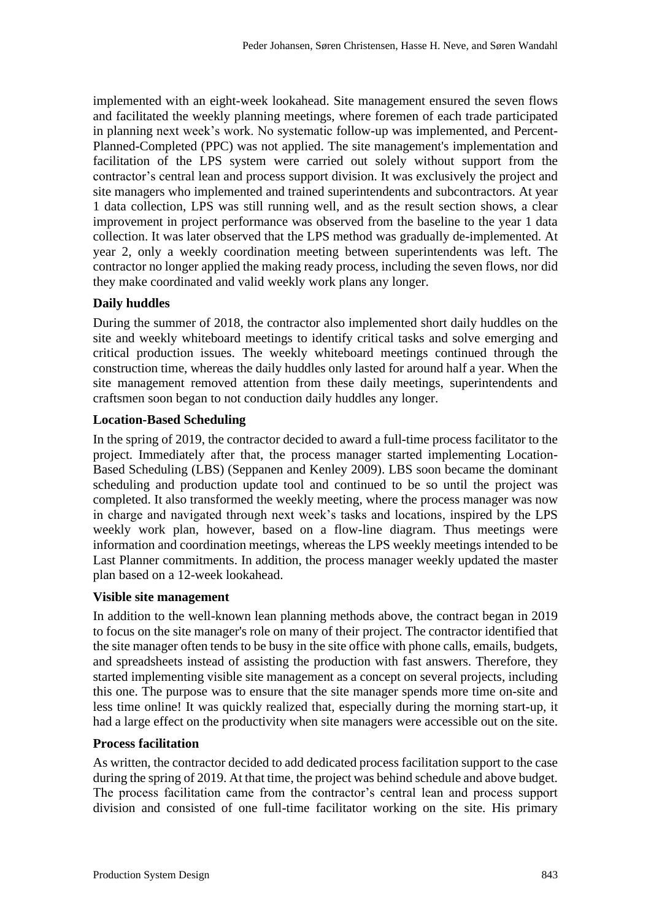implemented with an eight-week lookahead. Site management ensured the seven flows and facilitated the weekly planning meetings, where foremen of each trade participated in planning next week's work. No systematic follow-up was implemented, and Percent-Planned-Completed (PPC) was not applied. The site management's implementation and facilitation of the LPS system were carried out solely without support from the contractor's central lean and process support division. It was exclusively the project and site managers who implemented and trained superintendents and subcontractors. At year 1 data collection, LPS was still running well, and as the result section shows, a clear improvement in project performance was observed from the baseline to the year 1 data collection. It was later observed that the LPS method was gradually de-implemented. At year 2, only a weekly coordination meeting between superintendents was left. The contractor no longer applied the making ready process, including the seven flows, nor did they make coordinated and valid weekly work plans any longer.

#### **Daily huddles**

During the summer of 2018, the contractor also implemented short daily huddles on the site and weekly whiteboard meetings to identify critical tasks and solve emerging and critical production issues. The weekly whiteboard meetings continued through the construction time, whereas the daily huddles only lasted for around half a year. When the site management removed attention from these daily meetings, superintendents and craftsmen soon began to not conduction daily huddles any longer.

#### **Location-Based Scheduling**

In the spring of 2019, the contractor decided to award a full-time process facilitator to the project. Immediately after that, the process manager started implementing Location-Based Scheduling (LBS) (Seppanen and Kenley 2009). LBS soon became the dominant scheduling and production update tool and continued to be so until the project was completed. It also transformed the weekly meeting, where the process manager was now in charge and navigated through next week's tasks and locations, inspired by the LPS weekly work plan, however, based on a flow-line diagram. Thus meetings were information and coordination meetings, whereas the LPS weekly meetings intended to be Last Planner commitments. In addition, the process manager weekly updated the master plan based on a 12-week lookahead.

#### **Visible site management**

In addition to the well-known lean planning methods above, the contract began in 2019 to focus on the site manager's role on many of their project. The contractor identified that the site manager often tends to be busy in the site office with phone calls, emails, budgets, and spreadsheets instead of assisting the production with fast answers. Therefore, they started implementing visible site management as a concept on several projects, including this one. The purpose was to ensure that the site manager spends more time on-site and less time online! It was quickly realized that, especially during the morning start-up, it had a large effect on the productivity when site managers were accessible out on the site.

#### **Process facilitation**

As written, the contractor decided to add dedicated process facilitation support to the case during the spring of 2019. At that time, the project was behind schedule and above budget. The process facilitation came from the contractor's central lean and process support division and consisted of one full-time facilitator working on the site. His primary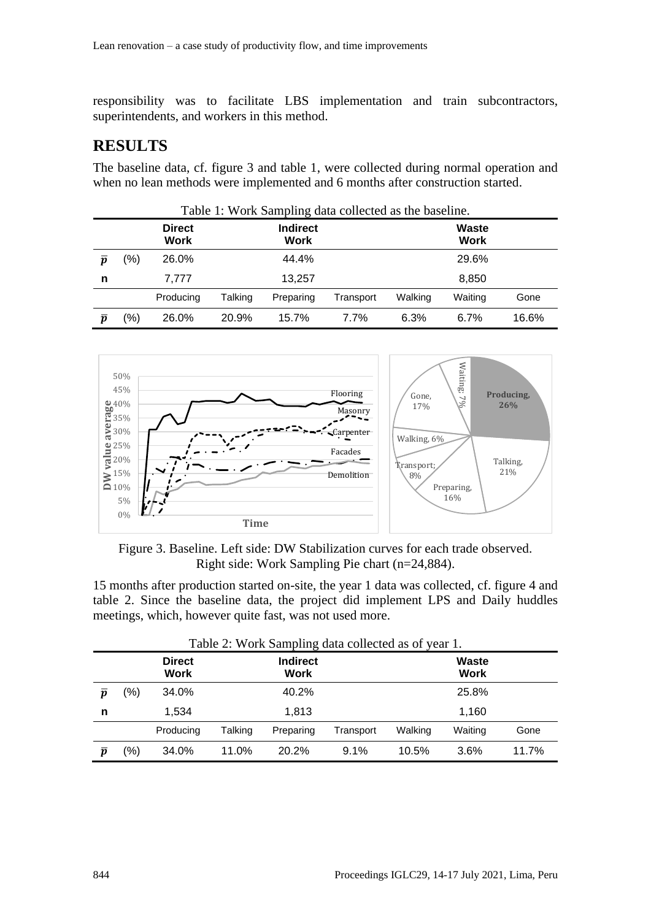responsibility was to facilitate LBS implementation and train subcontractors, superintendents, and workers in this method.

### **RESULTS**

The baseline data, cf. figure 3 and table 1, were collected during normal operation and when no lean methods were implemented and 6 months after construction started.

|                    | Table 1: Work Sampling data collected as the baseline. |                              |         |                         |           |         |                      |       |  |  |
|--------------------|--------------------------------------------------------|------------------------------|---------|-------------------------|-----------|---------|----------------------|-------|--|--|
|                    |                                                        | <b>Direct</b><br><b>Work</b> |         | <b>Indirect</b><br>Work |           |         | Waste<br><b>Work</b> |       |  |  |
| $\overline{\bf n}$ | (%)                                                    | 26.0%                        |         | 44.4%                   |           |         | 29.6%                |       |  |  |
| n                  |                                                        | 7.777                        |         | 13.257                  |           |         | 8,850                |       |  |  |
|                    |                                                        | Producing                    | Talking | Preparing               | Transport | Walking | Waiting              | Gone  |  |  |
| $\boldsymbol{n}$   | (%)                                                    | 26.0%                        | 20.9%   | 15.7%                   | 7.7%      | 6.3%    | 6.7%                 | 16.6% |  |  |



Figure 3. Baseline. Left side: DW Stabilization curves for each trade observed. Right side: Work Sampling Pie chart (n=24,884).

15 months after production started on-site, the year 1 data was collected, cf. figure 4 and table 2. Since the baseline data, the project did implement LPS and Daily huddles meetings, which, however quite fast, was not used more.

|                             | Table 2: Work Sampling data collected as of year 1. |                              |         |                         |           |         |                             |       |  |  |
|-----------------------------|-----------------------------------------------------|------------------------------|---------|-------------------------|-----------|---------|-----------------------------|-------|--|--|
|                             |                                                     | <b>Direct</b><br><b>Work</b> |         | <b>Indirect</b><br>Work |           |         | <b>Waste</b><br><b>Work</b> |       |  |  |
| $\overline{\boldsymbol{p}}$ | (%)                                                 | 34.0%                        |         | 40.2%                   |           |         | 25.8%                       |       |  |  |
| n                           |                                                     | 1.534                        |         | 1.813                   |           |         | 1.160                       |       |  |  |
|                             |                                                     | Producing                    | Talking | Preparing               | Transport | Walking | Waiting                     | Gone  |  |  |
| $\overline{\boldsymbol{p}}$ | (%)                                                 | 34.0%                        | 11.0%   | 20.2%                   | 9.1%      | 10.5%   | 3.6%                        | 11.7% |  |  |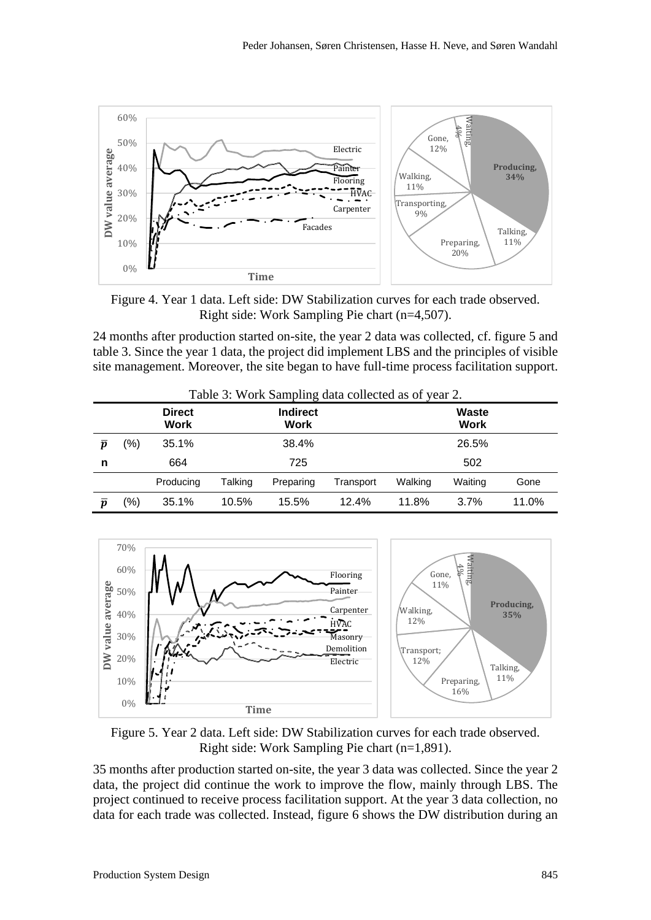

Figure 4. Year 1 data. Left side: DW Stabilization curves for each trade observed. Right side: Work Sampling Pie chart (n=4,507).

24 months after production started on-site, the year 2 data was collected, cf. figure 5 and table 3. Since the year 1 data, the project did implement LBS and the principles of visible site management. Moreover, the site began to have full-time process facilitation support.

|                             | Table 3: Work Sampling data collected as of year 2. |                              |         |                         |           |         |                      |       |  |  |
|-----------------------------|-----------------------------------------------------|------------------------------|---------|-------------------------|-----------|---------|----------------------|-------|--|--|
|                             |                                                     | <b>Direct</b><br><b>Work</b> |         | <b>Indirect</b><br>Work |           |         | Waste<br><b>Work</b> |       |  |  |
| $\overline{\boldsymbol{p}}$ | (%)                                                 | 35.1%                        |         | 38.4%                   |           |         | 26.5%                |       |  |  |
| n                           |                                                     | 664                          |         | 725                     |           |         | 502                  |       |  |  |
|                             |                                                     | Producing                    | Talking | Preparing               | Transport | Walking | Waiting              | Gone  |  |  |
| $\overline{\bf n}$          | (%)                                                 | 35.1%                        | 10.5%   | 15.5%                   | 12.4%     | 11.8%   | 3.7%                 | 11.0% |  |  |



Figure 5. Year 2 data. Left side: DW Stabilization curves for each trade observed. Right side: Work Sampling Pie chart (n=1,891).

35 months after production started on-site, the year 3 data was collected. Since the year 2 data, the project did continue the work to improve the flow, mainly through LBS. The project continued to receive process facilitation support. At the year 3 data collection, no data for each trade was collected. Instead, figure 6 shows the DW distribution during an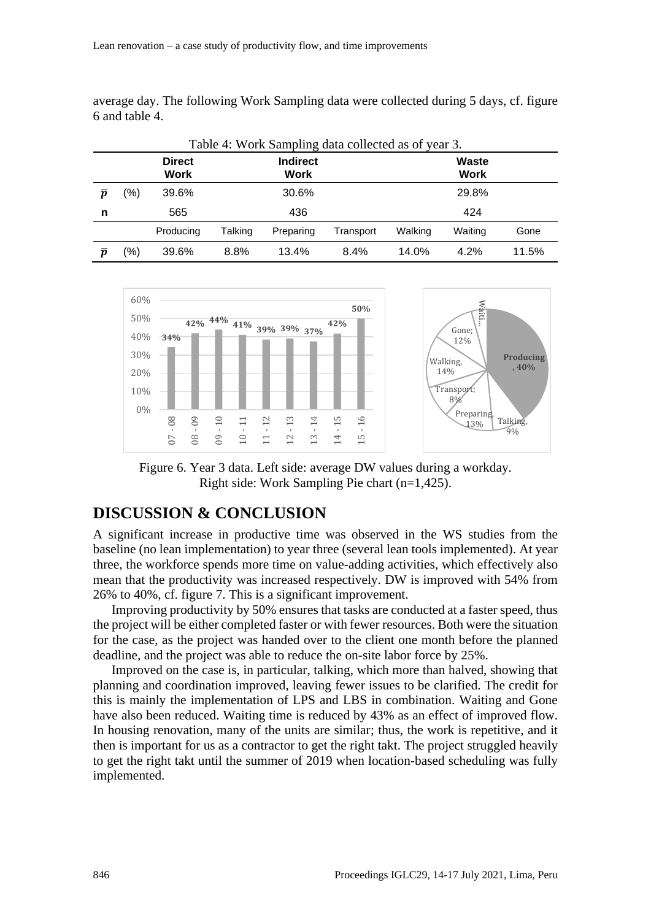average day. The following Work Sampling data were collected during 5 days, cf. figure 6 and table 4.

| Table 4: Work Sampling data collected as of year 3. |     |                              |         |                         |           |         |                      |       |  |
|-----------------------------------------------------|-----|------------------------------|---------|-------------------------|-----------|---------|----------------------|-------|--|
|                                                     |     | <b>Direct</b><br><b>Work</b> |         | <b>Indirect</b><br>Work |           |         | Waste<br><b>Work</b> |       |  |
| $\overline{\bm{v}}$                                 | (%) | 39.6%                        |         | 30.6%                   |           |         | 29.8%                |       |  |
| n                                                   |     | 565                          |         | 436                     |           |         | 424                  |       |  |
|                                                     |     | Producing                    | Talking | Preparing               | Transport | Walking | Waiting              | Gone  |  |
| $\overline{\bf n}$                                  | (%) | 39.6%                        | 8.8%    | 13.4%                   | 8.4%      | 14.0%   | 4.2%                 | 11.5% |  |



Figure 6. Year 3 data. Left side: average DW values during a workday. Right side: Work Sampling Pie chart (n=1,425).

#### **DISCUSSION & CONCLUSION**

A significant increase in productive time was observed in the WS studies from the baseline (no lean implementation) to year three (several lean tools implemented). At year three, the workforce spends more time on value-adding activities, which effectively also mean that the productivity was increased respectively. DW is improved with 54% from 26% to 40%, cf. figure 7. This is a significant improvement.

Improving productivity by 50% ensures that tasks are conducted at a faster speed, thus the project will be either completed faster or with fewer resources. Both were the situation for the case, as the project was handed over to the client one month before the planned deadline, and the project was able to reduce the on-site labor force by 25%.

Improved on the case is, in particular, talking, which more than halved, showing that planning and coordination improved, leaving fewer issues to be clarified. The credit for this is mainly the implementation of LPS and LBS in combination. Waiting and Gone have also been reduced. Waiting time is reduced by 43% as an effect of improved flow. In housing renovation, many of the units are similar; thus, the work is repetitive, and it then is important for us as a contractor to get the right takt. The project struggled heavily to get the right takt until the summer of 2019 when location-based scheduling was fully implemented.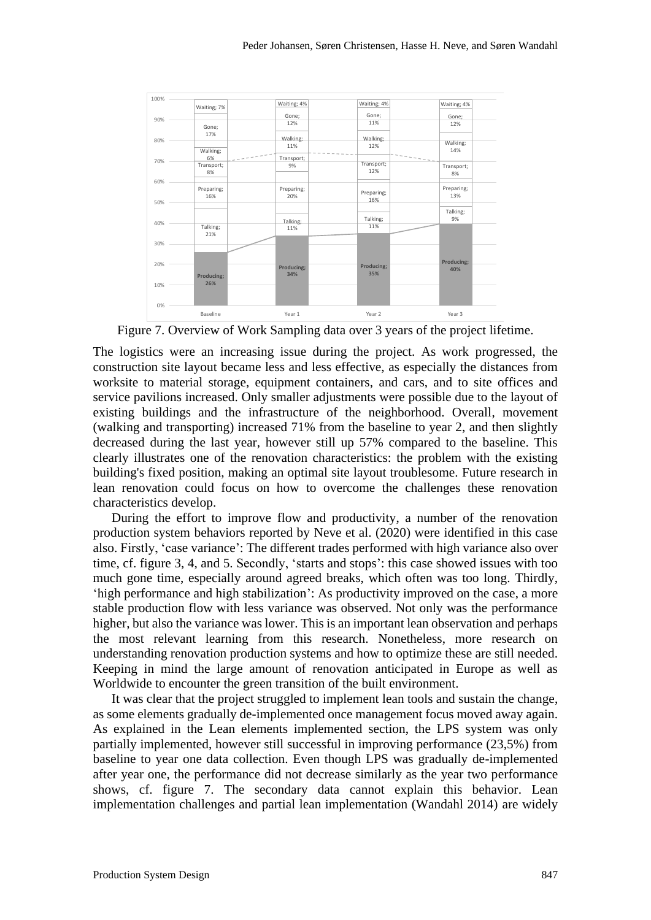

Figure 7. Overview of Work Sampling data over 3 years of the project lifetime.

The logistics were an increasing issue during the project. As work progressed, the construction site layout became less and less effective, as especially the distances from worksite to material storage, equipment containers, and cars, and to site offices and service pavilions increased. Only smaller adjustments were possible due to the layout of existing buildings and the infrastructure of the neighborhood. Overall, movement (walking and transporting) increased 71% from the baseline to year 2, and then slightly decreased during the last year, however still up 57% compared to the baseline. This clearly illustrates one of the renovation characteristics: the problem with the existing building's fixed position, making an optimal site layout troublesome. Future research in lean renovation could focus on how to overcome the challenges these renovation characteristics develop.

During the effort to improve flow and productivity, a number of the renovation production system behaviors reported by Neve et al. (2020) were identified in this case also. Firstly, 'case variance': The different trades performed with high variance also over time, cf. figure 3, 4, and 5. Secondly, 'starts and stops': this case showed issues with too much gone time, especially around agreed breaks, which often was too long. Thirdly, 'high performance and high stabilization': As productivity improved on the case, a more stable production flow with less variance was observed. Not only was the performance higher, but also the variance was lower. This is an important lean observation and perhaps the most relevant learning from this research. Nonetheless, more research on understanding renovation production systems and how to optimize these are still needed. Keeping in mind the large amount of renovation anticipated in Europe as well as Worldwide to encounter the green transition of the built environment.

It was clear that the project struggled to implement lean tools and sustain the change, as some elements gradually de-implemented once management focus moved away again. As explained in the Lean elements implemented section, the LPS system was only partially implemented, however still successful in improving performance (23,5%) from baseline to year one data collection. Even though LPS was gradually de-implemented after year one, the performance did not decrease similarly as the year two performance shows, cf. figure 7. The secondary data cannot explain this behavior. Lean implementation challenges and partial lean implementation (Wandahl 2014) are widely